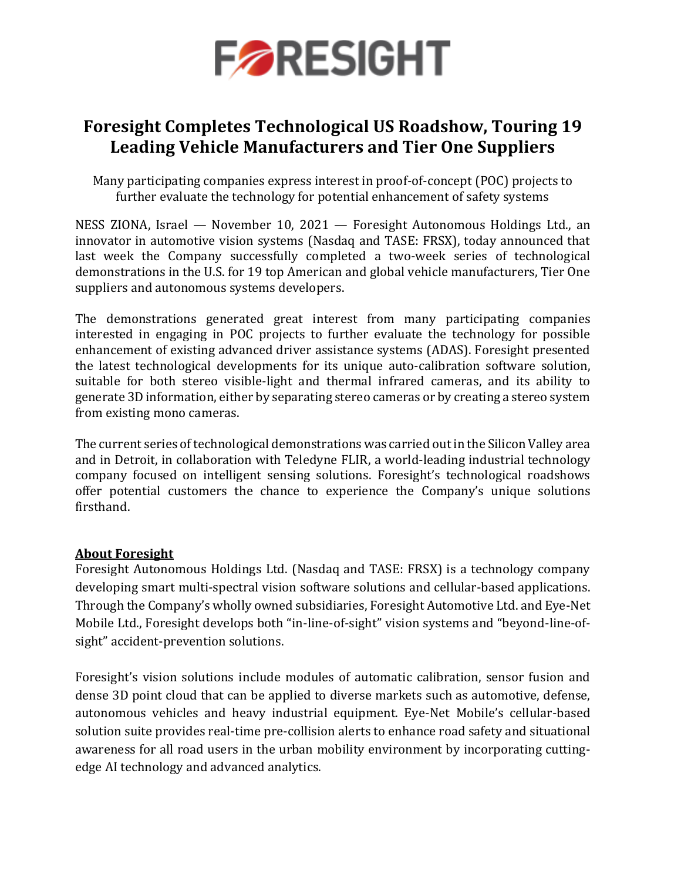

# **Foresight Completes Technological US Roadshow, Touring 19 Leading Vehicle Manufacturers and Tier One Suppliers**

Many participating companies express interest in proof-of-concept (POC) projects to further evaluate the technology for potential enhancement of safety systems

NESS ZIONA, Israel — November 10, 2021 — Foresight Autonomous Holdings Ltd., an innovator in automotive vision systems (Nasdaq and TASE: FRSX), today announced that last week the Company successfully completed a two-week series of technological demonstrations in the U.S. for 19 top American and global vehicle manufacturers, Tier One suppliers and autonomous systems developers.

The demonstrations generated great interest from many participating companies interested in engaging in POC projects to further evaluate the technology for possible enhancement of existing advanced driver assistance systems (ADAS). Foresight presented the latest technological developments for its unique auto-calibration software solution, suitable for both stereo visible-light and thermal infrared cameras, and its ability to generate 3D information, either by separating stereo cameras or by creating a stereo system from existing mono cameras.

The current series of technological demonstrations was carried out in the Silicon Valley area and in Detroit, in collaboration with Teledyne FLIR, a world-leading industrial technology company focused on intelligent sensing solutions. Foresight's technological roadshows offer potential customers the chance to experience the Company's unique solutions firsthand.

## **About Foresight**

Foresight Autonomous Holdings Ltd. (Nasdaq and TASE: FRSX) is a technology company developing smart multi-spectral vision software solutions and cellular-based applications. Through the Company's wholly owned subsidiaries, Foresight Automotive Ltd. and Eye-Net Mobile Ltd., Foresight develops both "in-line-of-sight" vision systems and "beyond-line-ofsight" accident-prevention solutions.

Foresight's vision solutions include modules of automatic calibration, sensor fusion and dense 3D point cloud that can be applied to diverse markets such as automotive, defense, autonomous vehicles and heavy industrial equipment. Eye-Net Mobile's cellular-based solution suite provides real-time pre-collision alerts to enhance road safety and situational awareness for all road users in the urban mobility environment by incorporating cuttingedge AI technology and advanced analytics.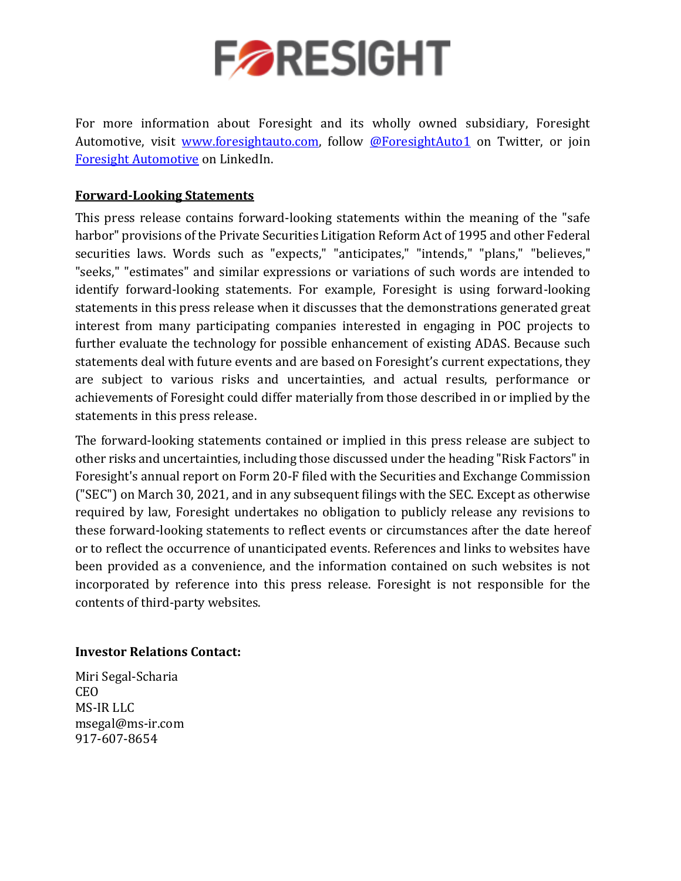

For more information about Foresight and its wholly owned subsidiary, Foresight Automotive, visit [www.foresightauto.com,](about:blank) follow [@ForesightAuto1](https://twitter.com/ForesightAuto1) on Twitter, or join [Foresight Automotive](https://www.linkedin.com/company/foresight-automotive/) on LinkedIn.

# **Forward-Looking Statements**

This press release contains forward-looking statements within the meaning of the "safe harbor" provisions of the Private Securities Litigation Reform Act of 1995 and other Federal securities laws. Words such as "expects," "anticipates," "intends," "plans," "believes," "seeks," "estimates" and similar expressions or variations of such words are intended to identify forward-looking statements. For example, Foresight is using forward-looking statements in this press release when it discusses that the demonstrations generated great interest from many participating companies interested in engaging in POC projects to further evaluate the technology for possible enhancement of existing ADAS. Because such statements deal with future events and are based on Foresight's current expectations, they are subject to various risks and uncertainties, and actual results, performance or achievements of Foresight could differ materially from those described in or implied by the statements in this press release.

The forward-looking statements contained or implied in this press release are subject to other risks and uncertainties, including those discussed under the heading "Risk Factors" in Foresight's annual report on Form 20-F filed with the Securities and Exchange Commission ("SEC") on March 30, 2021, and in any subsequent filings with the SEC. Except as otherwise required by law, Foresight undertakes no obligation to publicly release any revisions to these forward-looking statements to reflect events or circumstances after the date hereof or to reflect the occurrence of unanticipated events. References and links to websites have been provided as a convenience, and the information contained on such websites is not incorporated by reference into this press release. Foresight is not responsible for the contents of third-party websites.

## **Investor Relations Contact:**

Miri Segal-Scharia CEO MS-IR LLC [msegal@ms-ir.com](mailto:msegal@ms-ir.com) 917-607-8654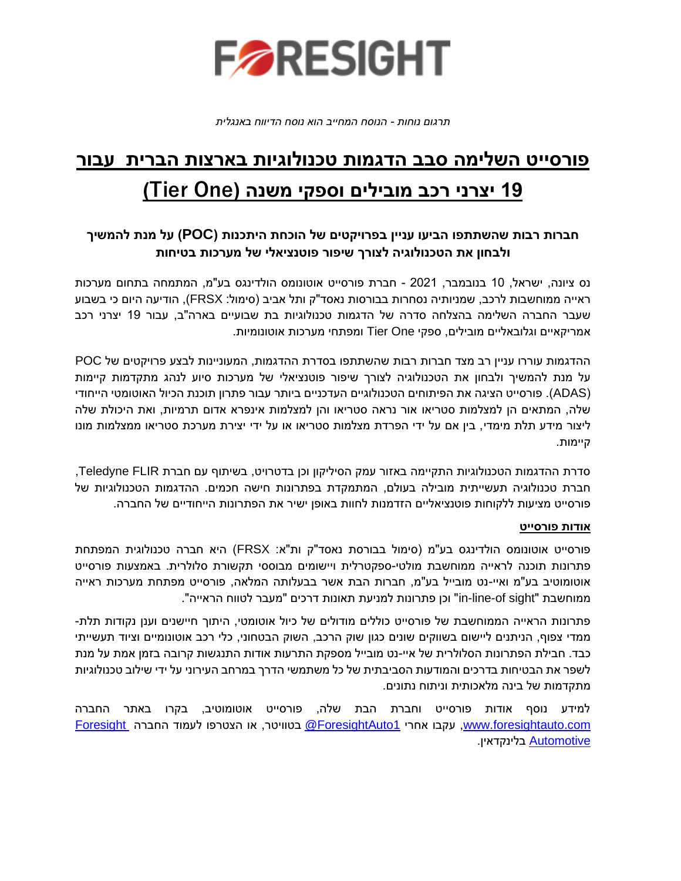

*תרגום נוחות - הנוסח המחייב הוא נוסח הדיווח באנגלית* 

# **פורסייט השלימה סבב הדגמות טכנולוגיות בארצות הברית עבור 19 יצרני רכב מובילים וספקי משנה )One Tier )**

# **חברות רבות שהשתתפו הביעו עניין בפרויקטים של הוכחת היתכנות ) POC )על מנת להמשיך ולבחון את הטכנולוגיה לצורך שיפור פוטנציאלי של מערכות בטיחות**

נס ציונה, ישראל, 10 בנובמבר, 2021 - חברת פורסייט אוטונומס הולדינגס בע"מ, המתמחה בתחום מערכות ראייה ממוחשבות לרכב, שמניותיה נסחרות בבורסות נאסד"ק ותל אביב )סימול: FRSX), הודיעה היום כי בשבוע שעבר החברה השלימה בהצלחה סדרה של הדגמות טכנולוגיות בת שבועיים בארה"ב, עבור 19 יצרני רכב אמריקאי ים וגלובאליים מוביל ים, ספקי One Tier ומפתחי מערכות אוטונומיות.

ההדגמות עוררו עניין רב מצד חברות רבות שהשתתפו בסדרת ההדגמות, המעוניינות לבצע פרויקטים של POC על מנת להמשיך ולבחון את הטכנולוגיה לצורך שיפור פוטנציאלי של מערכות סיוע לנהג מתקדמות קיימות )ADAS). פורסייט הציגה את הפיתוחים הטכנולוגיים העדכניים ביותר עבור פתרון תוכנת הכיול האוטומטי הייחודי שלה, המתאים הן למצלמות סטריאו אור נראה סטריאו והן למצלמות אינפרא אדום תרמיות, ואת היכולת שלה ליצור מידע תלת מימדי, בין אם על ידי הפרדת מצלמות סטריאו או על ידי יצירת מערכת סטריאו ממצלמות מונו קיימות.

סדרת ההדגמות הטכנולוגיות התקיימה באזור עמק הסיליקון וכן בדטרויט, בשיתוף עם חברת FLIR Teledyne, חברת טכנולוגיה תעשייתית מובילה בעולם, המתמקדת בפתרונות חישה חכמים. ההדגמות הטכנולוגיות של פורסייט מציעות ללקוחות פוטנציאליים הזדמנות לחוות באופן ישיר את הפתרונות הייחודיים של החברה.

### **אודות פורסייט**

פורסייט אוטונומס הולדינגס בע"מ )סימול בבורסת נאסד"ק ות"א: FRSX )היא חברה טכנולוגית המפתחת פתרונות תוכנה לראייה ממוחשבת מולטי-ספקטרלית ויישומים מבוססי תקשורת סלולרית. באמצעות פורסייט אוטומוטיב בע"מ ואיי-נט מובייל בע"מ, חברות הבת אשר בבעלותה המלאה, פורסייט מפתחת מערכות ראייה ממוחשבת "sight of-line-in "וכן פתרונות למניעת תאונות דרכים "מעבר לטווח הראייה".

פתרונות הראייה הממוחשבת של פורסייט כוללים מודולים של כיול אוטומטי, היתוך חיישנים וענן נקודות תלת-ממדי צפוף, הניתנים ליישום בשווקים שונים כגון שוק הרכב, השוק הבטחוני, כלי רכב אוטונומיים וציוד תעשייתי כבד. חבילת הפתרונות הסלולרית של איי-נט מובייל מספקת התרעות אודות התנגשות קרובה בזמן אמת על מנת לשפר את הבטיחות בדרכים והמודעות הסביבתית של כל משתמשי הדרך במרחב העירוני על ידי שילוב טכנולוגיות מתקדמות של בינה מלאכותית וניתוח נתונים.

למידע נוסף אודות פורסייט וחברת הבת שלה, פורסייט אוטומוטיב, בקרו באתר החברה [com.foresightauto.www,](http://www.foresightauto.com/) עקבו אחרי [1ForesightAuto](https://twitter.com/ForesightAuto1/) @בטוויטר, או הצטרפו לעמוד החברה [Foresight](https://www.linkedin.com/company/10469458/) [Automotive](https://www.linkedin.com/company/10469458/) בלינקדאין .